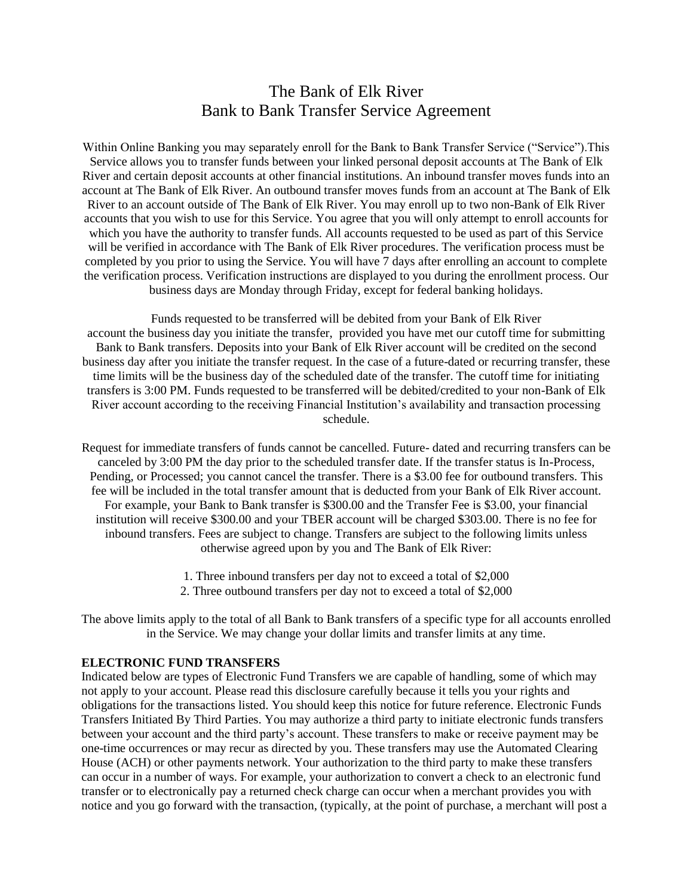# The Bank of Elk River Bank to Bank Transfer Service Agreement

Within Online Banking you may separately enroll for the Bank to Bank Transfer Service ("Service"). This Service allows you to transfer funds between your linked personal deposit accounts at The Bank of Elk River and certain deposit accounts at other financial institutions. An inbound transfer moves funds into an account at The Bank of Elk River. An outbound transfer moves funds from an account at The Bank of Elk River to an account outside of The Bank of Elk River. You may enroll up to two non-Bank of Elk River accounts that you wish to use for this Service. You agree that you will only attempt to enroll accounts for which you have the authority to transfer funds. All accounts requested to be used as part of this Service will be verified in accordance with The Bank of Elk River procedures. The verification process must be completed by you prior to using the Service. You will have 7 days after enrolling an account to complete the verification process. Verification instructions are displayed to you during the enrollment process. Our business days are Monday through Friday, except for federal banking holidays.

Funds requested to be transferred will be debited from your Bank of Elk River account the business day you initiate the transfer, provided you have met our cutoff time for submitting Bank to Bank transfers. Deposits into your Bank of Elk River account will be credited on the second business day after you initiate the transfer request. In the case of a future-dated or recurring transfer, these time limits will be the business day of the scheduled date of the transfer. The cutoff time for initiating transfers is 3:00 PM. Funds requested to be transferred will be debited/credited to your non-Bank of Elk River account according to the receiving Financial Institution's availability and transaction processing schedule.

Request for immediate transfers of funds cannot be cancelled. Future- dated and recurring transfers can be canceled by 3:00 PM the day prior to the scheduled transfer date. If the transfer status is In-Process, Pending, or Processed; you cannot cancel the transfer. There is a \$3.00 fee for outbound transfers. This fee will be included in the total transfer amount that is deducted from your Bank of Elk River account. For example, your Bank to Bank transfer is \$300.00 and the Transfer Fee is \$3.00, your financial institution will receive \$300.00 and your TBER account will be charged \$303.00. There is no fee for inbound transfers. Fees are subject to change. Transfers are subject to the following limits unless otherwise agreed upon by you and The Bank of Elk River:

- 1. Three inbound transfers per day not to exceed a total of \$2,000
- 2. Three outbound transfers per day not to exceed a total of \$2,000

The above limits apply to the total of all Bank to Bank transfers of a specific type for all accounts enrolled in the Service. We may change your dollar limits and transfer limits at any time.

#### **ELECTRONIC FUND TRANSFERS**

Indicated below are types of Electronic Fund Transfers we are capable of handling, some of which may not apply to your account. Please read this disclosure carefully because it tells you your rights and obligations for the transactions listed. You should keep this notice for future reference. Electronic Funds Transfers Initiated By Third Parties. You may authorize a third party to initiate electronic funds transfers between your account and the third party's account. These transfers to make or receive payment may be one-time occurrences or may recur as directed by you. These transfers may use the Automated Clearing House (ACH) or other payments network. Your authorization to the third party to make these transfers can occur in a number of ways. For example, your authorization to convert a check to an electronic fund transfer or to electronically pay a returned check charge can occur when a merchant provides you with notice and you go forward with the transaction, (typically, at the point of purchase, a merchant will post a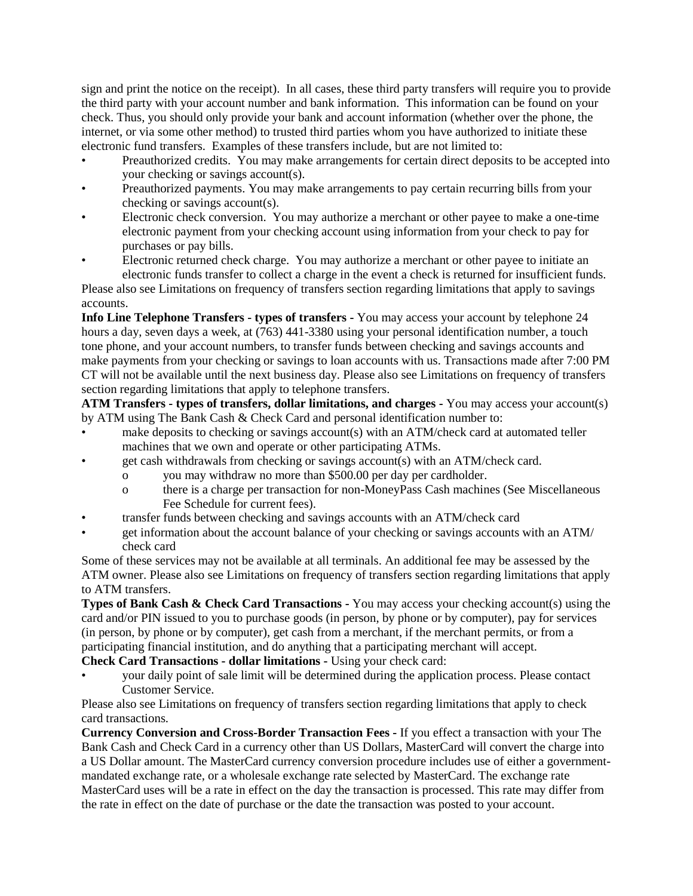sign and print the notice on the receipt). In all cases, these third party transfers will require you to provide the third party with your account number and bank information. This information can be found on your check. Thus, you should only provide your bank and account information (whether over the phone, the internet, or via some other method) to trusted third parties whom you have authorized to initiate these electronic fund transfers. Examples of these transfers include, but are not limited to:

- Preauthorized credits. You may make arrangements for certain direct deposits to be accepted into your checking or savings account(s).
- Preauthorized payments. You may make arrangements to pay certain recurring bills from your checking or savings account(s).
- Electronic check conversion. You may authorize a merchant or other payee to make a one-time electronic payment from your checking account using information from your check to pay for purchases or pay bills.
- Electronic returned check charge. You may authorize a merchant or other payee to initiate an electronic funds transfer to collect a charge in the event a check is returned for insufficient funds.

Please also see Limitations on frequency of transfers section regarding limitations that apply to savings accounts.

**Info Line Telephone Transfers - types of transfers -** You may access your account by telephone 24 hours a day, seven days a week, at (763) 441-3380 using your personal identification number, a touch tone phone, and your account numbers, to transfer funds between checking and savings accounts and make payments from your checking or savings to loan accounts with us. Transactions made after 7:00 PM CT will not be available until the next business day. Please also see Limitations on frequency of transfers section regarding limitations that apply to telephone transfers.

**ATM Transfers - types of transfers, dollar limitations, and charges -** You may access your account(s) by ATM using The Bank Cash & Check Card and personal identification number to:

- make deposits to checking or savings account(s) with an ATM/check card at automated teller machines that we own and operate or other participating ATMs.
- get cash withdrawals from checking or savings account(s) with an ATM/check card.
	- o you may withdraw no more than \$500.00 per day per cardholder.
		- o there is a charge per transaction for non-MoneyPass Cash machines (See Miscellaneous Fee Schedule for current fees).
- transfer funds between checking and savings accounts with an ATM/check card
- get information about the account balance of your checking or savings accounts with an ATM/ check card

Some of these services may not be available at all terminals. An additional fee may be assessed by the ATM owner. Please also see Limitations on frequency of transfers section regarding limitations that apply to ATM transfers.

**Types of Bank Cash & Check Card Transactions -** You may access your checking account(s) using the card and/or PIN issued to you to purchase goods (in person, by phone or by computer), pay for services (in person, by phone or by computer), get cash from a merchant, if the merchant permits, or from a participating financial institution, and do anything that a participating merchant will accept.

**Check Card Transactions - dollar limitations -** Using your check card:

• your daily point of sale limit will be determined during the application process. Please contact Customer Service.

Please also see Limitations on frequency of transfers section regarding limitations that apply to check card transactions.

**Currency Conversion and Cross-Border Transaction Fees -** If you effect a transaction with your The Bank Cash and Check Card in a currency other than US Dollars, MasterCard will convert the charge into a US Dollar amount. The MasterCard currency conversion procedure includes use of either a governmentmandated exchange rate, or a wholesale exchange rate selected by MasterCard. The exchange rate MasterCard uses will be a rate in effect on the day the transaction is processed. This rate may differ from the rate in effect on the date of purchase or the date the transaction was posted to your account.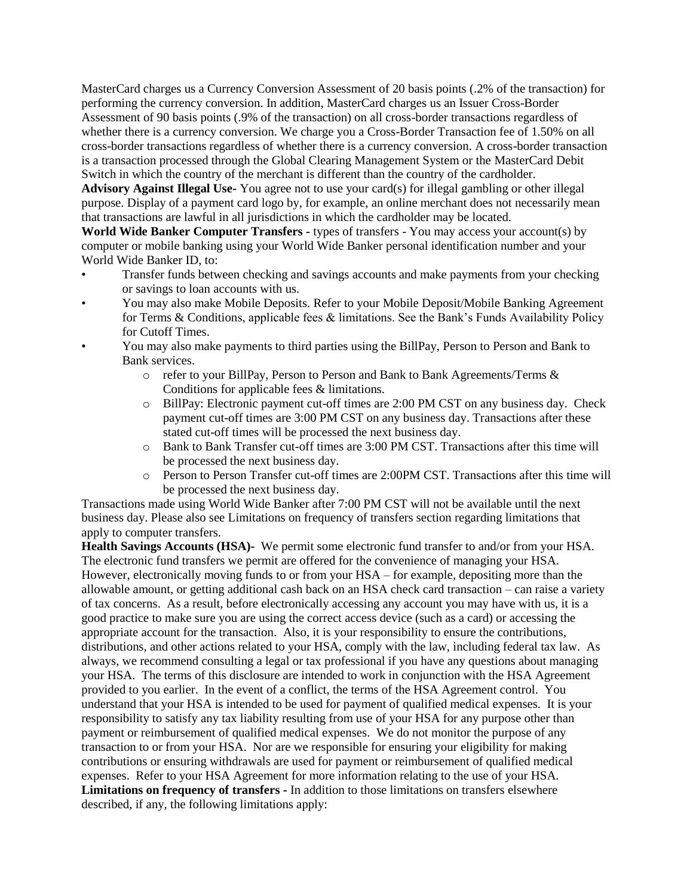MasterCard charges us a Currency Conversion Assessment of 20 basis points (.2% of the transaction) for performing the currency conversion. In addition, MasterCard charges us an Issuer Cross-Border Assessment of 90 basis points (.9% of the transaction) on all cross-border transactions regardless of whether there is a currency conversion. We charge you a Cross-Border Transaction fee of 1.50% on all cross-border transactions regardless of whether there is a currency conversion. A cross-border transaction is a transaction processed through the Global Clearing Management System or the MasterCard Debit Switch in which the country of the merchant is different than the country of the cardholder.

**Advisory Against Illegal Use-** You agree not to use your card(s) for illegal gambling or other illegal purpose. Display of a payment card logo by, for example, an online merchant does not necessarily mean that transactions are lawful in all jurisdictions in which the cardholder may be located.

**World Wide Banker Computer Transfers -** types of transfers - You may access your account(s) by computer or mobile banking using your World Wide Banker personal identification number and your World Wide Banker ID, to:

- Transfer funds between checking and savings accounts and make payments from your checking or savings to loan accounts with us.
- You may also make Mobile Deposits. Refer to your Mobile Deposit/Mobile Banking Agreement for Terms & Conditions, applicable fees & limitations. See the Bank's Funds Availability Policy for Cutoff Times.
- You may also make payments to third parties using the BillPay, Person to Person and Bank to Bank services.
	- o refer to your BillPay, Person to Person and Bank to Bank Agreements/Terms & Conditions for applicable fees & limitations.
	- o BillPay: Electronic payment cut-off times are 2:00 PM CST on any business day. Check payment cut-off times are 3:00 PM CST on any business day. Transactions after these stated cut-off times will be processed the next business day.
	- o Bank to Bank Transfer cut-off times are 3:00 PM CST. Transactions after this time will be processed the next business day.
	- o Person to Person Transfer cut-off times are 2:00PM CST. Transactions after this time will be processed the next business day.

Transactions made using World Wide Banker after 7:00 PM CST will not be available until the next business day. Please also see Limitations on frequency of transfers section regarding limitations that apply to computer transfers.

**Health Savings Accounts (HSA)-** We permit some electronic fund transfer to and/or from your HSA. The electronic fund transfers we permit are offered for the convenience of managing your HSA. However, electronically moving funds to or from your HSA – for example, depositing more than the allowable amount, or getting additional cash back on an HSA check card transaction – can raise a variety of tax concerns. As a result, before electronically accessing any account you may have with us, it is a good practice to make sure you are using the correct access device (such as a card) or accessing the appropriate account for the transaction. Also, it is your responsibility to ensure the contributions, distributions, and other actions related to your HSA, comply with the law, including federal tax law. As always, we recommend consulting a legal or tax professional if you have any questions about managing your HSA. The terms of this disclosure are intended to work in conjunction with the HSA Agreement provided to you earlier. In the event of a conflict, the terms of the HSA Agreement control. You understand that your HSA is intended to be used for payment of qualified medical expenses. It is your responsibility to satisfy any tax liability resulting from use of your HSA for any purpose other than payment or reimbursement of qualified medical expenses. We do not monitor the purpose of any transaction to or from your HSA. Nor are we responsible for ensuring your eligibility for making contributions or ensuring withdrawals are used for payment or reimbursement of qualified medical expenses. Refer to your HSA Agreement for more information relating to the use of your HSA. **Limitations on frequency of transfers -** In addition to those limitations on transfers elsewhere described, if any, the following limitations apply: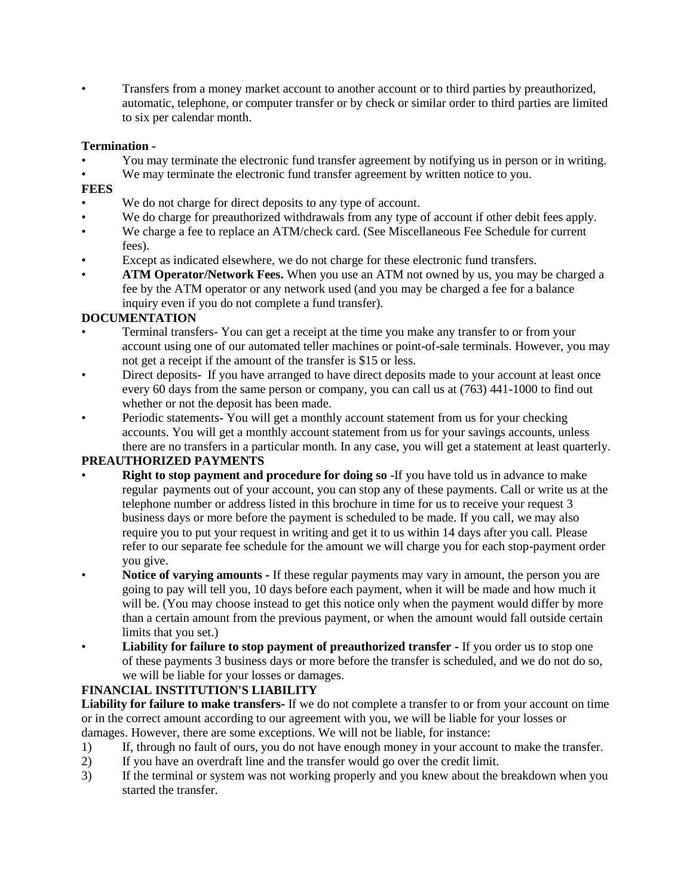• Transfers from a money market account to another account or to third parties by preauthorized, automatic, telephone, or computer transfer or by check or similar order to third parties are limited to six per calendar month.

### **Termination -**

- You may terminate the electronic fund transfer agreement by notifying us in person or in writing.
- We may terminate the electronic fund transfer agreement by written notice to you.
- **FEES**
- We do not charge for direct deposits to any type of account.
- We do charge for preauthorized withdrawals from any type of account if other debit fees apply.
- We charge a fee to replace an ATM/check card. (See Miscellaneous Fee Schedule for current fees).
- Except as indicated elsewhere, we do not charge for these electronic fund transfers.
- **ATM Operator/Network Fees.** When you use an ATM not owned by us, you may be charged a fee by the ATM operator or any network used (and you may be charged a fee for a balance inquiry even if you do not complete a fund transfer).

## **DOCUMENTATION**

- Terminal transfers- You can get a receipt at the time you make any transfer to or from your account using one of our automated teller machines or point-of-sale terminals. However, you may not get a receipt if the amount of the transfer is \$15 or less.
- Direct deposits- If you have arranged to have direct deposits made to your account at least once every 60 days from the same person or company, you can call us at (763) 441-1000 to find out whether or not the deposit has been made.
- Periodic statements- You will get a monthly account statement from us for your checking accounts. You will get a monthly account statement from us for your savings accounts, unless there are no transfers in a particular month. In any case, you will get a statement at least quarterly.

### **PREAUTHORIZED PAYMENTS**

- **Right to stop payment and procedure for doing so** -If you have told us in advance to make regular payments out of your account, you can stop any of these payments. Call or write us at the telephone number or address listed in this brochure in time for us to receive your request 3 business days or more before the payment is scheduled to be made. If you call, we may also require you to put your request in writing and get it to us within 14 days after you call. Please refer to our separate fee schedule for the amount we will charge you for each stop-payment order you give.
- **Notice of varying amounts -** If these regular payments may vary in amount, the person you are going to pay will tell you, 10 days before each payment, when it will be made and how much it will be. (You may choose instead to get this notice only when the payment would differ by more than a certain amount from the previous payment, or when the amount would fall outside certain limits that you set.)
- **Liability for failure to stop payment of preauthorized transfer -** If you order us to stop one of these payments 3 business days or more before the transfer is scheduled, and we do not do so, we will be liable for your losses or damages.

### **FINANCIAL INSTITUTION'S LIABILITY**

**Liability for failure to make transfers-** If we do not complete a transfer to or from your account on time or in the correct amount according to our agreement with you, we will be liable for your losses or damages. However, there are some exceptions. We will not be liable, for instance:

- 1) If, through no fault of ours, you do not have enough money in your account to make the transfer.
- 2) If you have an overdraft line and the transfer would go over the credit limit.
- 3) If the terminal or system was not working properly and you knew about the breakdown when you started the transfer.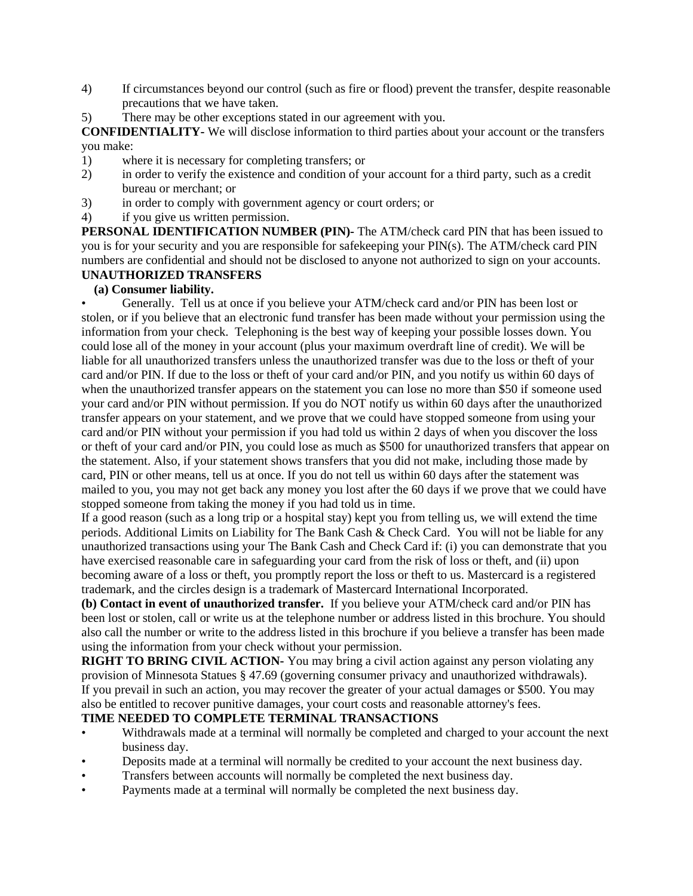- 4) If circumstances beyond our control (such as fire or flood) prevent the transfer, despite reasonable precautions that we have taken.
- 5) There may be other exceptions stated in our agreement with you.

**CONFIDENTIALITY-** We will disclose information to third parties about your account or the transfers you make:

- 1) where it is necessary for completing transfers; or
- 2) in order to verify the existence and condition of your account for a third party, such as a credit bureau or merchant; or
- 3) in order to comply with government agency or court orders; or
- 4) if you give us written permission.

**PERSONAL IDENTIFICATION NUMBER (PIN)-** The ATM/check card PIN that has been issued to you is for your security and you are responsible for safekeeping your PIN(s). The ATM/check card PIN numbers are confidential and should not be disclosed to anyone not authorized to sign on your accounts. **UNAUTHORIZED TRANSFERS**

### **(a) Consumer liability.**

• Generally. Tell us at once if you believe your ATM/check card and/or PIN has been lost or stolen, or if you believe that an electronic fund transfer has been made without your permission using the information from your check. Telephoning is the best way of keeping your possible losses down. You could lose all of the money in your account (plus your maximum overdraft line of credit). We will be liable for all unauthorized transfers unless the unauthorized transfer was due to the loss or theft of your card and/or PIN. If due to the loss or theft of your card and/or PIN, and you notify us within 60 days of when the unauthorized transfer appears on the statement you can lose no more than \$50 if someone used your card and/or PIN without permission. If you do NOT notify us within 60 days after the unauthorized transfer appears on your statement, and we prove that we could have stopped someone from using your card and/or PIN without your permission if you had told us within 2 days of when you discover the loss or theft of your card and/or PIN, you could lose as much as \$500 for unauthorized transfers that appear on the statement. Also, if your statement shows transfers that you did not make, including those made by card, PIN or other means, tell us at once. If you do not tell us within 60 days after the statement was mailed to you, you may not get back any money you lost after the 60 days if we prove that we could have stopped someone from taking the money if you had told us in time.

If a good reason (such as a long trip or a hospital stay) kept you from telling us, we will extend the time periods. Additional Limits on Liability for The Bank Cash & Check Card. You will not be liable for any unauthorized transactions using your The Bank Cash and Check Card if: (i) you can demonstrate that you have exercised reasonable care in safeguarding your card from the risk of loss or theft, and (ii) upon becoming aware of a loss or theft, you promptly report the loss or theft to us. Mastercard is a registered trademark, and the circles design is a trademark of Mastercard International Incorporated.

**(b) Contact in event of unauthorized transfer.** If you believe your ATM/check card and/or PIN has been lost or stolen, call or write us at the telephone number or address listed in this brochure. You should also call the number or write to the address listed in this brochure if you believe a transfer has been made using the information from your check without your permission.

**RIGHT TO BRING CIVIL ACTION-** You may bring a civil action against any person violating any provision of Minnesota Statues § 47.69 (governing consumer privacy and unauthorized withdrawals). If you prevail in such an action, you may recover the greater of your actual damages or \$500. You may also be entitled to recover punitive damages, your court costs and reasonable attorney's fees.

## **TIME NEEDED TO COMPLETE TERMINAL TRANSACTIONS**

- Withdrawals made at a terminal will normally be completed and charged to your account the next business day.
- Deposits made at a terminal will normally be credited to your account the next business day.
- Transfers between accounts will normally be completed the next business day.
- Payments made at a terminal will normally be completed the next business day.